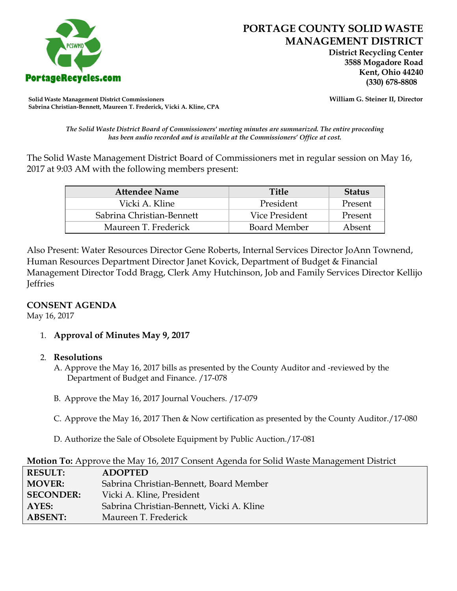

 **District Recycling Center 3588 Mogadore Road Kent, Ohio 44240**

**Solid Waste Management District Commissioners William G. Steiner II, Director Sabrina Christian-Bennett, Maureen T. Frederick, Vicki A. Kline, CPA**

*The Solid Waste District Board of Commissioners' meeting minutes are summarized. The entire proceeding has been audio recorded and is available at the Commissioners' Office at cost.*

The Solid Waste Management District Board of Commissioners met in regular session on May 16, 2017 at 9:03 AM with the following members present:

| <b>Attendee Name</b>      | <b>Title</b>        | <b>Status</b> |
|---------------------------|---------------------|---------------|
| Vicki A. Kline            | President           | Present       |
| Sabrina Christian-Bennett | Vice President      | Present       |
| Maureen T. Frederick      | <b>Board Member</b> | Absent        |

Also Present: Water Resources Director Gene Roberts, Internal Services Director JoAnn Townend, Human Resources Department Director Janet Kovick, Department of Budget & Financial Management Director Todd Bragg, Clerk Amy Hutchinson, Job and Family Services Director Kellijo **Jeffries** 

# **CONSENT AGENDA**

May 16, 2017

1. **Approval of Minutes May 9, 2017**

# 2. **Resolutions**

- A. Approve the May 16, 2017 bills as presented by the County Auditor and -reviewed by the Department of Budget and Finance. /17-078
- B. Approve the May 16, 2017 Journal Vouchers. /17-079
- C. Approve the May 16, 2017 Then & Now certification as presented by the County Auditor./17-080
- D. Authorize the Sale of Obsolete Equipment by Public Auction./17-081

| Motion To: Approve the May 16, 2017 Consent Agenda for Solid Waste Management District |  |  |
|----------------------------------------------------------------------------------------|--|--|
|                                                                                        |  |  |

| <b>RESULT:</b>   | <b>ADOPTED</b>                            |
|------------------|-------------------------------------------|
| <b>MOVER:</b>    | Sabrina Christian-Bennett, Board Member   |
| <b>SECONDER:</b> | Vicki A. Kline, President                 |
| AYES:            | Sabrina Christian-Bennett, Vicki A. Kline |
| <b>ABSENT:</b>   | Maureen T. Frederick                      |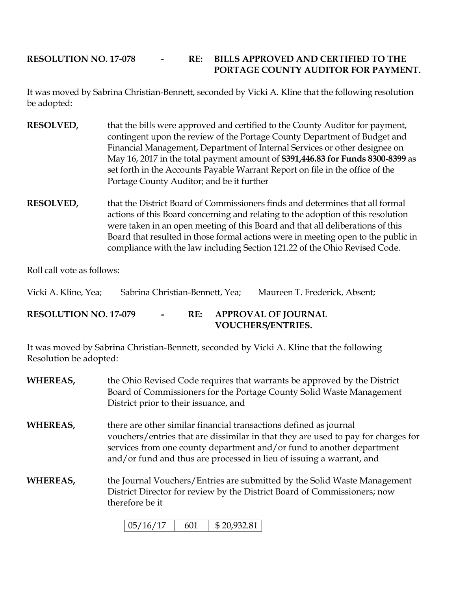# **RESOLUTION NO. 17-078 - RE: BILLS APPROVED AND CERTIFIED TO THE PORTAGE COUNTY AUDITOR FOR PAYMENT.**

It was moved by Sabrina Christian-Bennett, seconded by Vicki A. Kline that the following resolution be adopted:

- **RESOLVED,** that the bills were approved and certified to the County Auditor for payment, contingent upon the review of the Portage County Department of Budget and Financial Management, Department of Internal Services or other designee on May 16, 2017 in the total payment amount of **\$391,446.83 for Funds 8300-8399** as set forth in the Accounts Payable Warrant Report on file in the office of the Portage County Auditor; and be it further
- **RESOLVED,** that the District Board of Commissioners finds and determines that all formal actions of this Board concerning and relating to the adoption of this resolution were taken in an open meeting of this Board and that all deliberations of this Board that resulted in those formal actions were in meeting open to the public in compliance with the law including Section 121.22 of the Ohio Revised Code.

Roll call vote as follows:

| Vicki A. Kline, Yea;         | Sabrina Christian-Bennett, Yea; |        |  | Maureen T. Frederick, Absent;                       |
|------------------------------|---------------------------------|--------|--|-----------------------------------------------------|
| <b>RESOLUTION NO. 17-079</b> |                                 | $\sim$ |  | RE: APPROVAL OF JOURNAL<br><b>VOUCHERS/ENTRIES.</b> |

It was moved by Sabrina Christian-Bennett, seconded by Vicki A. Kline that the following Resolution be adopted:

**WHEREAS,** the Ohio Revised Code requires that warrants be approved by the District Board of Commissioners for the Portage County Solid Waste Management District prior to their issuance, and **WHEREAS,** there are other similar financial transactions defined as journal vouchers/entries that are dissimilar in that they are used to pay for charges for services from one county department and/or fund to another department and/or fund and thus are processed in lieu of issuing a warrant, and **WHEREAS,** the Journal Vouchers/Entries are submitted by the Solid Waste Management District Director for review by the District Board of Commissioners; now

therefore be it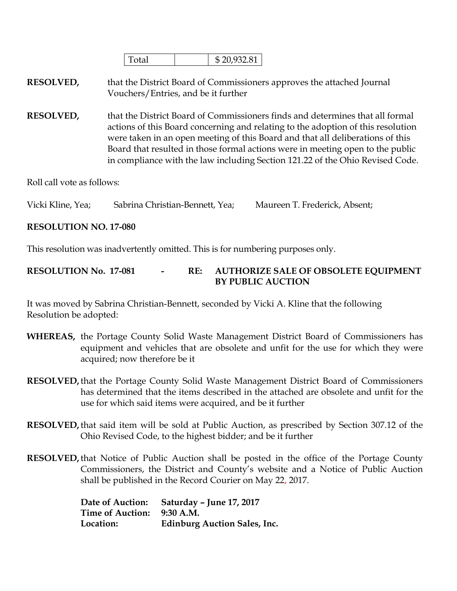|  | 022.01 |
|--|--------|
|  |        |

**RESOLVED,** that the District Board of Commissioners approves the attached Journal Vouchers/Entries, and be it further

**RESOLVED,** that the District Board of Commissioners finds and determines that all formal actions of this Board concerning and relating to the adoption of this resolution were taken in an open meeting of this Board and that all deliberations of this Board that resulted in those formal actions were in meeting open to the public in compliance with the law including Section 121.22 of the Ohio Revised Code.

Roll call vote as follows:

Vicki Kline, Yea; Sabrina Christian-Bennett, Yea; Maureen T. Frederick, Absent;

#### **RESOLUTION NO. 17-080**

This resolution was inadvertently omitted. This is for numbering purposes only.

## **RESOLUTION No. 17-081 - RE: AUTHORIZE SALE OF OBSOLETE EQUIPMENT BY PUBLIC AUCTION**

It was moved by Sabrina Christian-Bennett, seconded by Vicki A. Kline that the following Resolution be adopted:

- **WHEREAS,** the Portage County Solid Waste Management District Board of Commissioners has equipment and vehicles that are obsolete and unfit for the use for which they were acquired; now therefore be it
- **RESOLVED,**that the Portage County Solid Waste Management District Board of Commissioners has determined that the items described in the attached are obsolete and unfit for the use for which said items were acquired, and be it further
- **RESOLVED,**that said item will be sold at Public Auction, as prescribed by Section 307.12 of the Ohio Revised Code, to the highest bidder; and be it further
- **RESOLVED,**that Notice of Public Auction shall be posted in the office of the Portage County Commissioners, the District and County's website and a Notice of Public Auction shall be published in the Record Courier on May 22, 2017.

|                            | Date of Auction: Saturday - June 17, 2017 |
|----------------------------|-------------------------------------------|
| Time of Auction: 9:30 A.M. |                                           |
| Location:                  | <b>Edinburg Auction Sales, Inc.</b>       |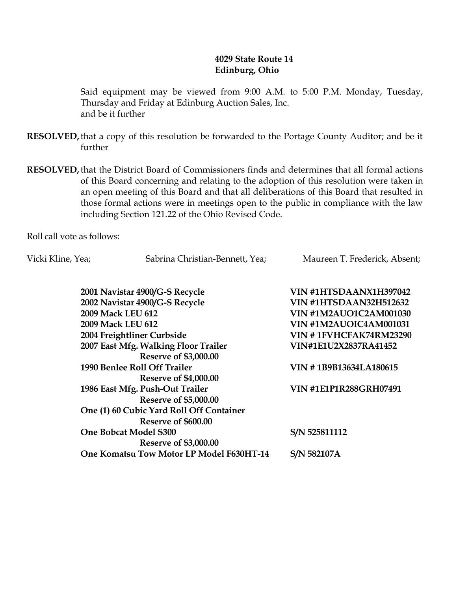## **4029 State Route 14 Edinburg, Ohio**

Said equipment may be viewed from 9:00 A.M. to 5:00 P.M. Monday, Tuesday, Thursday and Friday at Edinburg Auction Sales, Inc. and be it further

**RESOLVED,**that a copy of this resolution be forwarded to the Portage County Auditor; and be it further

**RESOLVED,**that the District Board of Commissioners finds and determines that all formal actions of this Board concerning and relating to the adoption of this resolution were taken in an open meeting of this Board and that all deliberations of this Board that resulted in those formal actions were in meetings open to the public in compliance with the law including Section 121.22 of the Ohio Revised Code.

Roll call vote as follows:

Vicki Kline, Yea; Sabrina Christian-Bennett, Yea; Maureen T. Frederick, Absent;

| 2001 Navistar 4900/G-S Recycle           | VIN #1HTSDAANX1H397042        |
|------------------------------------------|-------------------------------|
| 2002 Navistar 4900/G-S Recycle           | <b>VIN #1HTSDAAN32H512632</b> |
| 2009 Mack LEU 612                        | <b>VIN #1M2AUO1C2AM001030</b> |
| 2009 Mack LEU 612                        | VIN #1M2AUOIC4AM001031        |
| 2004 Freightliner Curbside               | VIN #1FVHCFAK74RM23290        |
| 2007 East Mfg. Walking Floor Trailer     | VIN#1E1U2X2837RA41452         |
| <b>Reserve of \$3,000.00</b>             |                               |
| 1990 Benlee Roll Off Trailer             | VIN #1B9B13634LA180615        |
| <b>Reserve of \$4,000.00</b>             |                               |
| 1986 East Mfg. Push-Out Trailer          | <b>VIN #1E1P1R288GRH07491</b> |
| <b>Reserve of \$5,000.00</b>             |                               |
| One (1) 60 Cubic Yard Roll Off Container |                               |
| Reserve of \$600.00                      |                               |
| <b>One Bobcat Model S300</b>             | S/N 525811112                 |
| <b>Reserve of \$3,000.00</b>             |                               |
| One Komatsu Tow Motor LP Model F630HT-14 | S/N 582107A                   |
|                                          |                               |